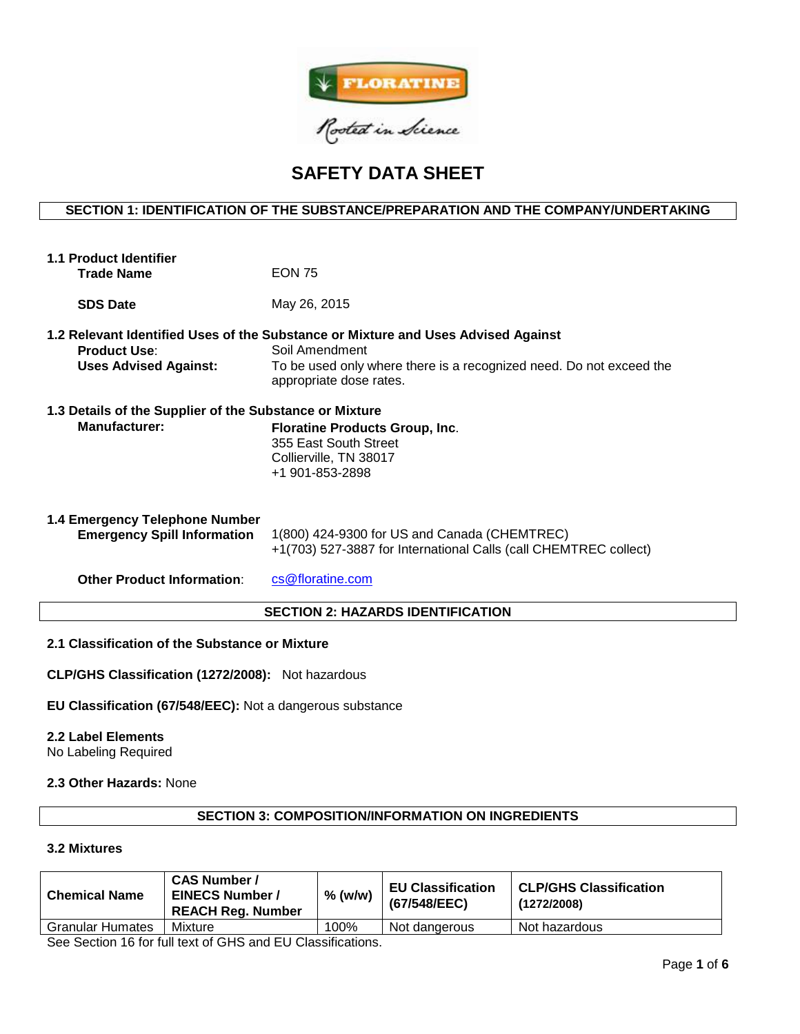

# **SAFETY DATA SHEET**

# **SECTION 1: IDENTIFICATION OF THE SUBSTANCE/PREPARATION AND THE COMPANY/UNDERTAKING**

| 1.1 Product Identifier<br><b>Trade Name</b>                              | <b>EON 75</b>                                                                                                                                                                                         |  |  |  |
|--------------------------------------------------------------------------|-------------------------------------------------------------------------------------------------------------------------------------------------------------------------------------------------------|--|--|--|
| <b>SDS Date</b>                                                          | May 26, 2015                                                                                                                                                                                          |  |  |  |
| <b>Product Use:</b><br><b>Uses Advised Against:</b>                      | 1.2 Relevant Identified Uses of the Substance or Mixture and Uses Advised Against<br>Soil Amendment<br>To be used only where there is a recognized need. Do not exceed the<br>appropriate dose rates. |  |  |  |
| 1.3 Details of the Supplier of the Substance or Mixture<br>Manufacturer: | <b>Floratine Products Group, Inc.</b><br>355 East South Street<br>Collierville, TN 38017<br>+1 901-853-2898                                                                                           |  |  |  |
| 1.4 Emergency Telephone Number<br><b>Emergency Spill Information</b>     | 1(800) 424-9300 for US and Canada (CHEMTREC)<br>+1(703) 527-3887 for International Calls (call CHEMTREC collect)                                                                                      |  |  |  |
| <b>Other Product Information:</b>                                        | cs@floratine.com                                                                                                                                                                                      |  |  |  |
| <b>SECTION 2: HAZARDS IDENTIFICATION</b>                                 |                                                                                                                                                                                                       |  |  |  |

## **2.1 Classification of the Substance or Mixture**

**CLP/GHS Classification (1272/2008):** Not hazardous

**EU Classification (67/548/EEC):** Not a dangerous substance

#### **2.2 Label Elements**

No Labeling Required

## **2.3 Other Hazards:** None

## **SECTION 3: COMPOSITION/INFORMATION ON INGREDIENTS**

# **3.2 Mixtures**

| <b>Chemical Name</b>    | <b>CAS Number /</b><br><b>EINECS Number /</b><br><b>REACH Reg. Number</b> | % (w/w) | <b>EU Classification</b><br>(67/548/EEC) | <b>CLP/GHS Classification</b><br>(1272/2008) |
|-------------------------|---------------------------------------------------------------------------|---------|------------------------------------------|----------------------------------------------|
| <b>Granular Humates</b> | Mixture                                                                   | 100%    | Not dangerous                            | Not hazardous                                |

See Section 16 for full text of GHS and EU Classifications.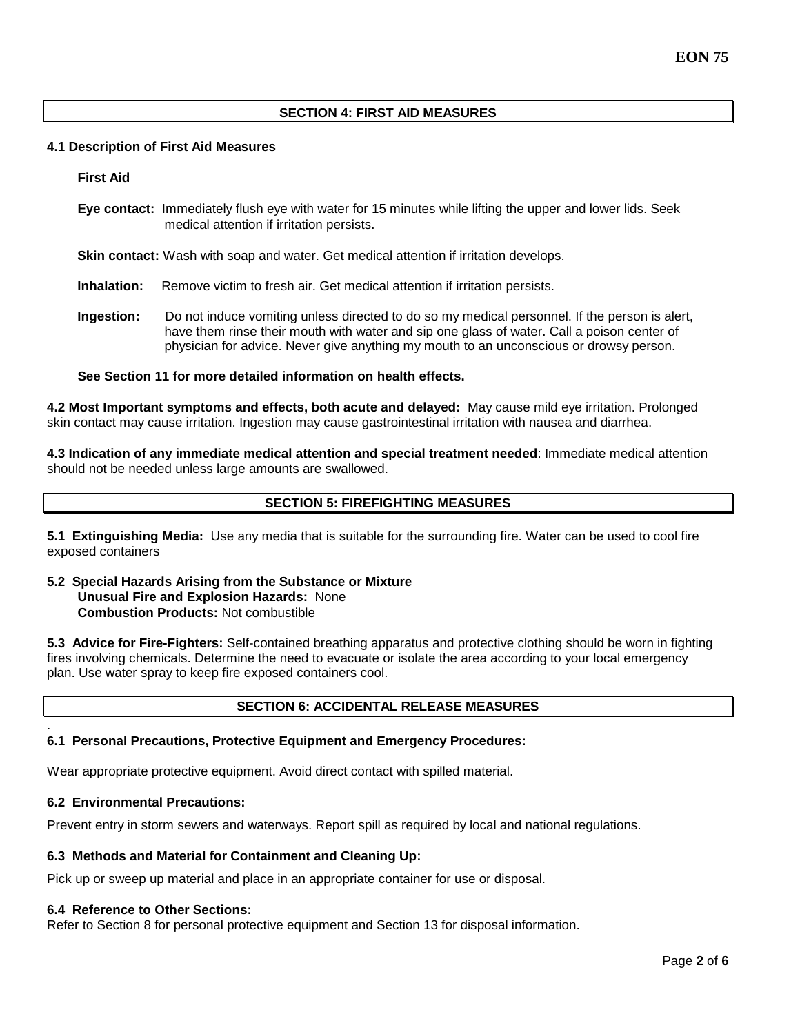# **SECTION 4: FIRST AID MEASURES**

## **4.1 Description of First Aid Measures**

**First Aid**

**Eye contact:** Immediately flush eye with water for 15 minutes while lifting the upper and lower lids. Seek medical attention if irritation persists.

**Skin contact:** Wash with soap and water. Get medical attention if irritation develops.

- **Inhalation:** Remove victim to fresh air. Get medical attention if irritation persists.
- **Ingestion:** Do not induce vomiting unless directed to do so my medical personnel. If the person is alert, have them rinse their mouth with water and sip one glass of water. Call a poison center of physician for advice. Never give anything my mouth to an unconscious or drowsy person.

## **See Section 11 for more detailed information on health effects.**

**4.2 Most Important symptoms and effects, both acute and delayed:** May cause mild eye irritation. Prolonged skin contact may cause irritation. Ingestion may cause gastrointestinal irritation with nausea and diarrhea.

**4.3 Indication of any immediate medical attention and special treatment needed**: Immediate medical attention should not be needed unless large amounts are swallowed.

# **SECTION 5: FIREFIGHTING MEASURES**

**5.1 Extinguishing Media:** Use any media that is suitable for the surrounding fire. Water can be used to cool fire exposed containers

**5.2 Special Hazards Arising from the Substance or Mixture Unusual Fire and Explosion Hazards:** None **Combustion Products:** Not combustible

**5.3 Advice for Fire-Fighters:** Self-contained breathing apparatus and protective clothing should be worn in fighting fires involving chemicals. Determine the need to evacuate or isolate the area according to your local emergency plan. Use water spray to keep fire exposed containers cool.

## **SECTION 6: ACCIDENTAL RELEASE MEASURES**

#### **6.1 Personal Precautions, Protective Equipment and Emergency Procedures:**

Wear appropriate protective equipment. Avoid direct contact with spilled material.

## **6.2 Environmental Precautions:**

.

Prevent entry in storm sewers and waterways. Report spill as required by local and national regulations.

#### **6.3 Methods and Material for Containment and Cleaning Up:**

Pick up or sweep up material and place in an appropriate container for use or disposal.

#### **6.4 Reference to Other Sections:**

Refer to Section 8 for personal protective equipment and Section 13 for disposal information.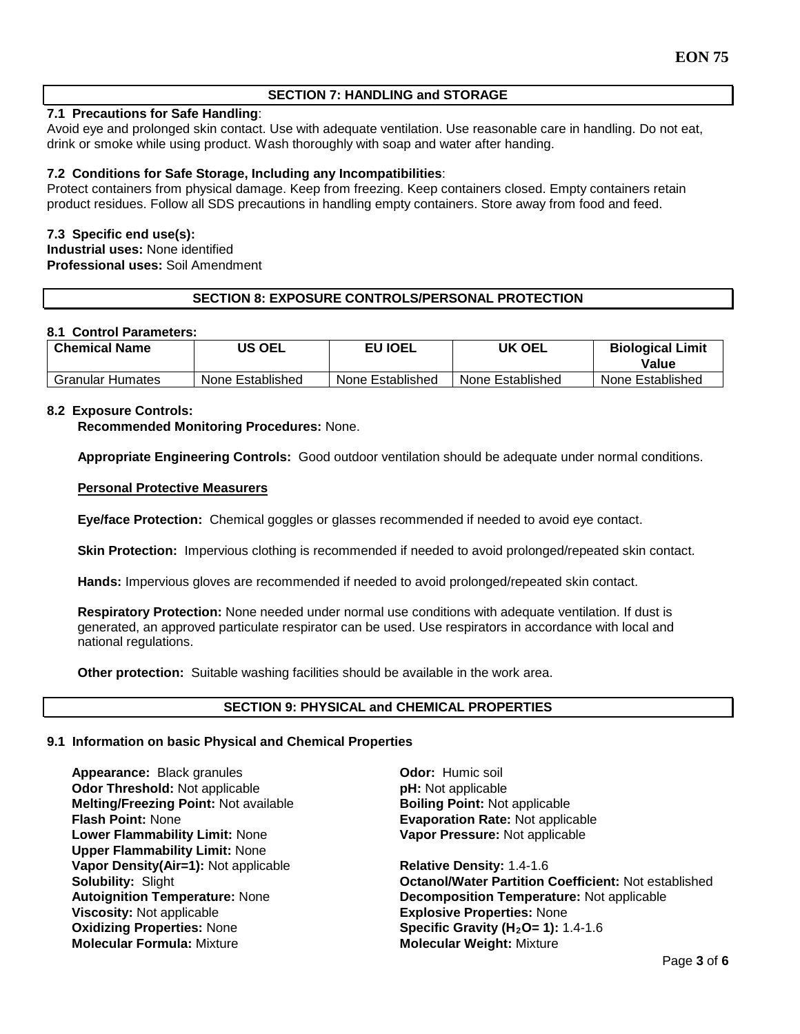# **SECTION 7: HANDLING and STORAGE**

# **7.1 Precautions for Safe Handling**:

Avoid eye and prolonged skin contact. Use with adequate ventilation. Use reasonable care in handling. Do not eat, drink or smoke while using product. Wash thoroughly with soap and water after handing.

# **7.2 Conditions for Safe Storage, Including any Incompatibilities**:

Protect containers from physical damage. Keep from freezing. Keep containers closed. Empty containers retain product residues. Follow all SDS precautions in handling empty containers. Store away from food and feed.

## **7.3 Specific end use(s):**

**Industrial uses:** None identified **Professional uses:** Soil Amendment

# **SECTION 8: EXPOSURE CONTROLS/PERSONAL PROTECTION**

## **8.1 Control Parameters:**

| <b>Chemical Name</b>    | US OEL           | <b>EU IOEL</b>   | UK OEL           | <b>Biological Limit</b><br>Value |
|-------------------------|------------------|------------------|------------------|----------------------------------|
| <b>Granular Humates</b> | None Established | None Established | None Established | None Established                 |

## **8.2 Exposure Controls:**

**Recommended Monitoring Procedures:** None.

**Appropriate Engineering Controls:** Good outdoor ventilation should be adequate under normal conditions.

## **Personal Protective Measurers**

**Eye/face Protection:** Chemical goggles or glasses recommended if needed to avoid eye contact.

**Skin Protection:** Impervious clothing is recommended if needed to avoid prolonged/repeated skin contact.

**Hands:** Impervious gloves are recommended if needed to avoid prolonged/repeated skin contact.

**Respiratory Protection:** None needed under normal use conditions with adequate ventilation. If dust is generated, an approved particulate respirator can be used. Use respirators in accordance with local and national regulations.

**Other protection:** Suitable washing facilities should be available in the work area.

## **SECTION 9: PHYSICAL and CHEMICAL PROPERTIES**

#### **9.1 Information on basic Physical and Chemical Properties**

**Appearance: Black granules <b>Constanting Constanting Constanting Appearance: Ddor:** Humic soil **Odor Threshold:** Not applicable **pH:** Not applicable **phenomicable Melting/Freezing Point:** Not applicable **Melting/Freezing Point: Not available Flash Point: None Lower Flammability Limit:** None **Upper Flammability Limit:** None **Vapor Density(Air=1):** Not applicable **Relative Density:** 1.4-1.6 **Oxidizing Properties: None <b>Specific Gravity (H<sub>2</sub>O= 1):** 1.4-1.6<br> **Molecular Formula:** Mixture **State of Molecular Weight:** Mixture

**Evaporation Rate: Not applicable Vapor Pressure:** Not applicable

**Solubility:** Slight **Container Solubility:** Slight **Container Coefficient:** Not established **Autoignition Temperature:** Not applicable Autoignition Temperature: None **Decomposition Temperature:** Not applicable **Viscosity:** Not applicable **Viscosity:** Not applicable **Explosive Properties: None Molecular Weight: Mixture**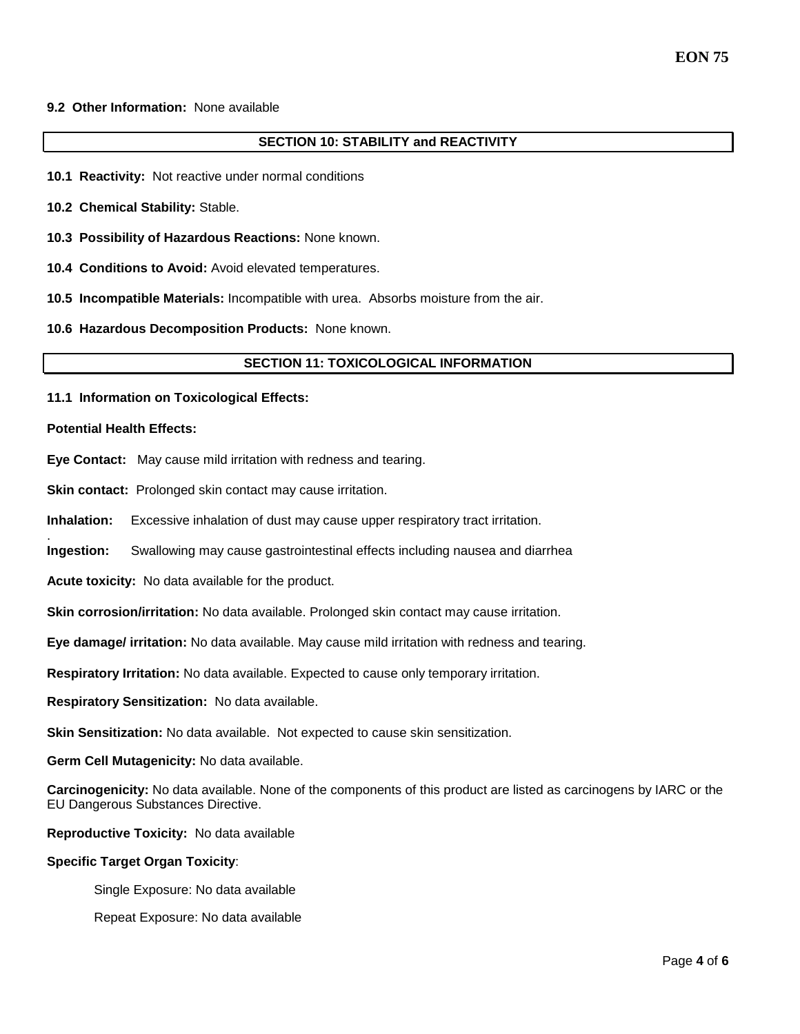# **9.2 Other Information:** None available

## **SECTION 10: STABILITY and REACTIVITY**

- **10.1 Reactivity:** Not reactive under normal conditions
- **10.2 Chemical Stability:** Stable.
- **10.3 Possibility of Hazardous Reactions:** None known.
- **10.4 Conditions to Avoid:** Avoid elevated temperatures.
- **10.5 Incompatible Materials:** Incompatible with urea. Absorbs moisture from the air.
- **10.6 Hazardous Decomposition Products:** None known.

#### **SECTION 11: TOXICOLOGICAL INFORMATION**

**11.1 Information on Toxicological Effects:** 

#### **Potential Health Effects:**

.

- **Eye Contact:** May cause mild irritation with redness and tearing.
- **Skin contact:** Prolonged skin contact may cause irritation.
- **Inhalation:** Excessive inhalation of dust may cause upper respiratory tract irritation.
- **Ingestion:** Swallowing may cause gastrointestinal effects including nausea and diarrhea
- **Acute toxicity:** No data available for the product.
- **Skin corrosion/irritation:** No data available. Prolonged skin contact may cause irritation.
- **Eye damage/ irritation:** No data available. May cause mild irritation with redness and tearing.
- **Respiratory Irritation:** No data available. Expected to cause only temporary irritation.
- **Respiratory Sensitization:** No data available.
- **Skin Sensitization:** No data available. Not expected to cause skin sensitization.
- **Germ Cell Mutagenicity:** No data available.
- **Carcinogenicity:** No data available. None of the components of this product are listed as carcinogens by IARC or the EU Dangerous Substances Directive.
- **Reproductive Toxicity:** No data available

#### **Specific Target Organ Toxicity**:

- Single Exposure: No data available
- Repeat Exposure: No data available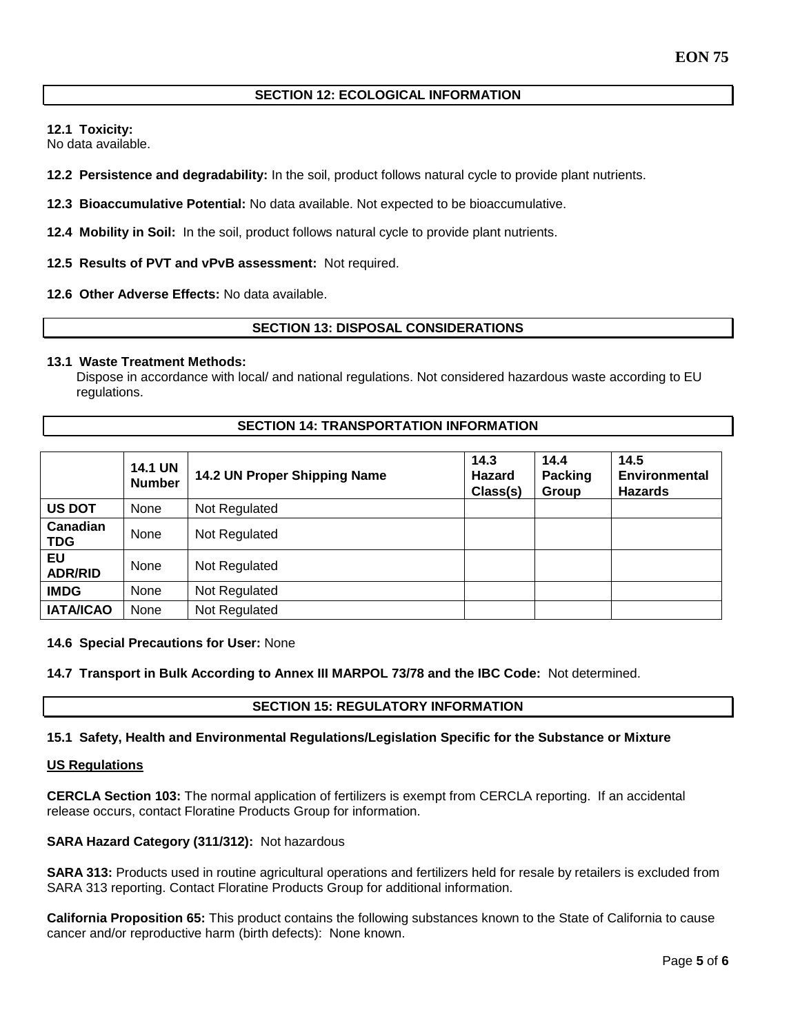## **SECTION 12: ECOLOGICAL INFORMATION**

**12.1 Toxicity:** 

No data available.

**12.2 Persistence and degradability:** In the soil, product follows natural cycle to provide plant nutrients.

**12.3 Bioaccumulative Potential:** No data available. Not expected to be bioaccumulative.

**12.4 Mobility in Soil:** In the soil, product follows natural cycle to provide plant nutrients.

**12.5 Results of PVT and vPvB assessment:** Not required.

**12.6 Other Adverse Effects:** No data available.

# **SECTION 13: DISPOSAL CONSIDERATIONS**

## **13.1 Waste Treatment Methods:**

Dispose in accordance with local/ and national regulations. Not considered hazardous waste according to EU regulations.

## **SECTION 14: TRANSPORTATION INFORMATION**

|                        | <b>14.1 UN</b><br><b>Number</b> | 14.2 UN Proper Shipping Name | 14.3<br>Hazard<br>Class(s) | 14.4<br>Packing<br>Group | 14.5<br><b>Environmental</b><br><b>Hazards</b> |
|------------------------|---------------------------------|------------------------------|----------------------------|--------------------------|------------------------------------------------|
| <b>US DOT</b>          | None                            | Not Regulated                |                            |                          |                                                |
| Canadian<br><b>TDG</b> | None                            | Not Regulated                |                            |                          |                                                |
| EU<br><b>ADR/RID</b>   | None                            | Not Regulated                |                            |                          |                                                |
| <b>IMDG</b>            | None                            | Not Regulated                |                            |                          |                                                |
| <b>IATA/ICAO</b>       | None                            | Not Regulated                |                            |                          |                                                |

#### **14.6 Special Precautions for User:** None

**14.7 Transport in Bulk According to Annex III MARPOL 73/78 and the IBC Code:** Not determined.

## **SECTION 15: REGULATORY INFORMATION**

## **15.1 Safety, Health and Environmental Regulations/Legislation Specific for the Substance or Mixture**

#### **US Regulations**

**CERCLA Section 103:** The normal application of fertilizers is exempt from CERCLA reporting. If an accidental release occurs, contact Floratine Products Group for information.

## **SARA Hazard Category (311/312):** Not hazardous

**SARA 313:** Products used in routine agricultural operations and fertilizers held for resale by retailers is excluded from SARA 313 reporting. Contact Floratine Products Group for additional information.

**California Proposition 65:** This product contains the following substances known to the State of California to cause cancer and/or reproductive harm (birth defects): None known.